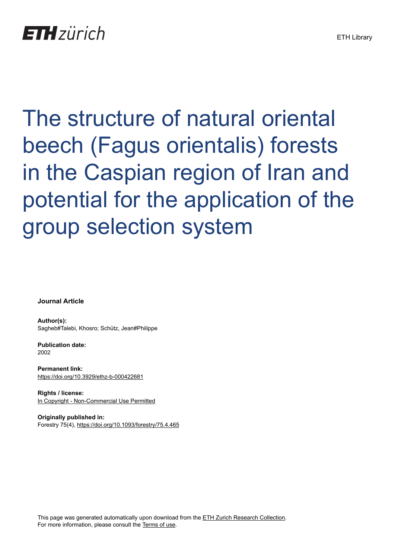The structure of natural oriental beech (Fagus orientalis) forests in the Caspian region of Iran and potential for the application of the group selection system

**Journal Article**

**Author(s):** Sagheb#Talebi, Khosro; Schütz, Jean#Philippe

**Publication date:** 2002

**Permanent link:** <https://doi.org/10.3929/ethz-b-000422681>

**Rights / license:** [In Copyright - Non-Commercial Use Permitted](http://rightsstatements.org/page/InC-NC/1.0/)

**Originally published in:** Forestry 75(4),<https://doi.org/10.1093/forestry/75.4.465>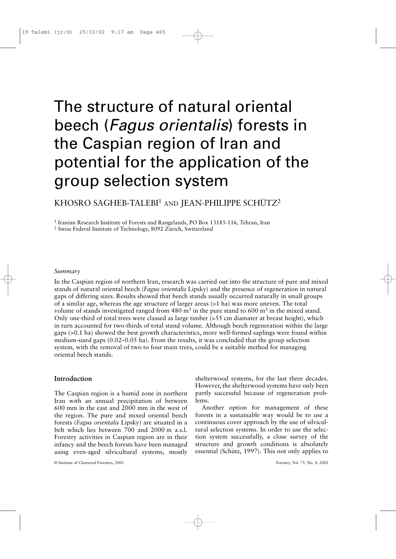# The structure of natural oriental beech (*Fagus orientalis*) forests in the Caspian region of Iran and potential for the application of the group selection system

# KHOSRO SAGHEB-TALEBI<sup>1</sup> AND JEAN-PHILIPPE SCHÜTZ<sup>2</sup>

<sup>1</sup> Iranian Research Institute of Forests and Rangelands, PO Box 13185-116, Tehran, Iran

<sup>2</sup> Swiss Federal Institute of Technology, 8092 Zürich, Switzerland

#### *Summary*

In the Caspian region of northern Iran, research was carried out into the structure of pure and mixed stands of natural oriental beech (*Fagus orientalis* Lipsky) and the presence of regeneration in natural gaps of differing sizes. Results showed that beech stands usually occurred naturally in small groups of a similar age, whereas the age structure of larger areas (>1 ha) was more uneven. The total volume of stands investigated ranged from 480  $\text{m}^3$  in the pure stand to 600  $\text{m}^3$  in the mixed stand. Only one-third of total trees were classed as large timber  $(>55$  cm diamater at breast height), which in turn accounted for two-thirds of total stand volume. Although beech regeneration within the large gaps (>0.1 ha) showed the best growth characteristics, more well-formed saplings were found within medium-sized gaps (0.02–0.05 ha). From the results, it was concluded that the group selection system, with the removal of two to four main trees, could be a suitable method for managing oriental beech stands.

# **Introduction**

The Caspian region is a humid zone in northern Iran with an annual precipitation of between 600 mm in the east and 2000 mm in the west of the region. The pure and mixed oriental beech forests (*Fagus orientalis* Lipsky) are situated in a belt which lies between 700 and 2000 m a.s.l. Forestry activities in Caspian region are in their infancy and the beech forests have been managed using even-aged silvicultural systems, mostly

shelterwood systems, for the last three decades. However, the shelterwood systems have only been partly successful because of regeneration problems.

Another option for management of these forests in a sustainable way would be to use a continuous cover approach by the use of silvicultural selection systems. In order to use the selection system successfully, a close survey of the structure and growth conditions is absolutely essential (Schütz, 1997). This not only applies to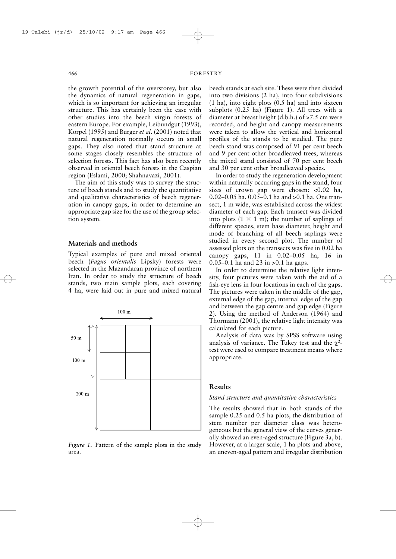the growth potential of the overstorey, but also the dynamics of natural regeneration in gaps, which is so important for achieving an irregular structure. This has certainly been the case with other studies into the beech virgin forests of eastern Europe. For example, Leibundgut (1993), Korpel (1995) and Burger *et al*. (2001) noted that natural regeneration normally occurs in small gaps. They also noted that stand structure at some stages closely resembles the structure of selection forests. This fact has also been recently observed in oriental beech forests in the Caspian region (Eslami, 2000; Shahnavazi, 2001).

The aim of this study was to survey the structure of beech stands and to study the quantitative and qualitative characteristics of beech regeneration in canopy gaps, in order to determine an appropriate gap size for the use of the group selection system.

### **Materials and methods**

Typical examples of pure and mixed oriental beech (*Fagus orientalis* Lipsky) forests were selected in the Mazandaran province of northern Iran. In order to study the structure of beech stands, two main sample plots, each covering 4 ha, were laid out in pure and mixed natural



*Figure 1*. Pattern of the sample plots in the study area.

beech stands at each site. These were then divided into two divisions (2 ha), into four subdivisions (1 ha), into eight plots (0.5 ha) and into sixteen subplots (0.25 ha) (Figure 1). All trees with a diameter at breast height (d.b.h.) of >7.5 cm were recorded, and height and canopy measurements were taken to allow the vertical and horizontal profiles of the stands to be studied. The pure beech stand was composed of 91 per cent beech and 9 per cent other broadleaved trees, whereas the mixed stand consisted of 70 per cent beech and 30 per cent other broadleaved species.

In order to study the regeneration development within naturally occurring gaps in the stand, four sizes of crown gap were chosen: <0.02 ha, 0.02–0.05 ha, 0.05–0.1 ha and >0.1 ha. One transect, 1 m wide, was established across the widest diameter of each gap. Each transect was divided into plots  $(1 \times 1)$  m); the number of saplings of different species, stem base diameter, height and mode of branching of all beech saplings were studied in every second plot. The number of assessed plots on the transects was five in 0.02 ha canopy gaps, 11 in 0.02–0.05 ha, 16 in 0.05–0.1 ha and 23 in >0.1 ha gaps.

In order to determine the relative light intensity, four pictures were taken with the aid of a fish-eye lens in four locations in each of the gaps. The pictures were taken in the middle of the gap, external edge of the gap, internal edge of the gap and between the gap centre and gap edge (Figure 2). Using the method of Anderson (1964) and Thormann (2001), the relative light intensity was calculated for each picture.

Analysis of data was by SPSS software using analysis of variance. The Tukey test and the  $\chi^2$ test were used to compare treatment means where appropriate.

# **Results**

#### *Stand structure and quantitative characteristics*

The results showed that in both stands of the sample 0.25 and 0.5 ha plots, the distribution of stem number per diameter class was heterogeneous but the general view of the curves generally showed an even-aged structure (Figure 3a, b). However, at a larger scale, 1 ha plots and above, an uneven-aged pattern and irregular distribution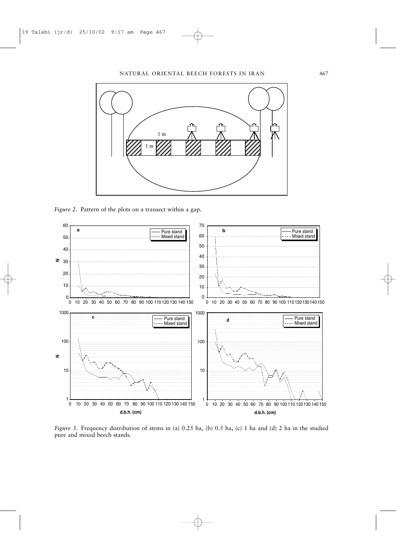

*Figure 2*. Pattern of the plots on a transect within a gap.



*Figure 3*. Frequency distribution of stems in (a) 0.25 ha, (b) 0.5 ha, (c) 1 ha and (d) 2 ha in the studied pure and mixed beech stands.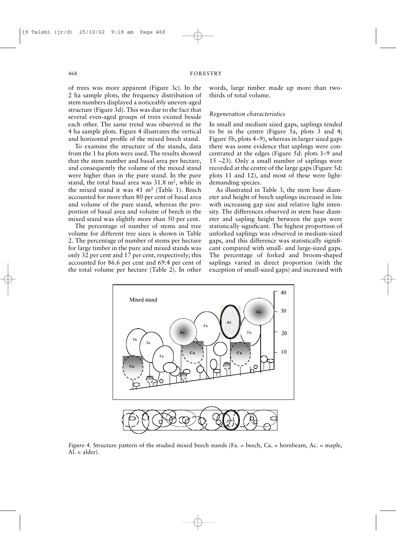of trees was more apparent (Figure 3c). In the 2 ha sample plots, the frequency distribution of stem numbers displayed a noticeably uneven-aged structure (Figure 3d). This was due to the fact that several even-aged groups of trees existed beside each other. The same trend was observed in the 4 ha sample plots. Figure 4 illustrates the vertical and horizontal profile of the mixed beech stand.

To examine the structure of the stands, data from the 1 ha plots were used. The results showed that the stem number and basal area per hectare, and consequently the volume of the mixed stand were higher than in the pure stand. In the pure stand, the total basal area was  $31.8 \text{ m}^2$ , while in the mixed stand it was 41 m2 (Table 1). Beech accounted for more than 80 per cent of basal area and volume of the pure stand, whereas the proportion of basal area and volume of beech in the mixed stand was slightly more than 50 per cent.

The percentage of number of stems and tree volume for different tree sizes is shown in Table 2. The percentage of number of stems per hectare for large timber in the pure and mixed stands was only 32 per cent and 17 per cent, respectively; this accounted for 86.6 per cent and 69.4 per cent of the total volume per hectare (Table 2). In other

words, large timber made up more than twothirds of total volume.

# *Regeneration characteristics*

In small and medium sized gaps, saplings tended to be in the centre (Figure 5a, plots 3 and 4; Figure 5b, plots 4–9), whereas in larger sized gaps there was some evidence that saplings were concentrated at the edges (Figure 5d: plots 1–9 and 15 –23). Only a small number of saplings were recorded at the centre of the large gaps (Figure 5d: plots 11 and 12), and most of these were lightdemanding species.

As illustrated in Table 3, the stem base diameter and height of beech saplings increased in line with increasing gap size and relative light intensity. The differences observed in stem base diameter and sapling height between the gaps were statistically significant. The highest proportion of unforked saplings was observed in medium-sized gaps, and this difference was statistically significant compared with small- and large-sized gaps. The percentage of forked and broom-shaped saplings varied in direct proportion (with the exception of small-sized gaps) and increased with



*Figure 4*. Structure pattern of the studied mixed beech stands (Fa. = beech, Ca. = hornbeam, Ac. = maple,  $Al. = alder$ ).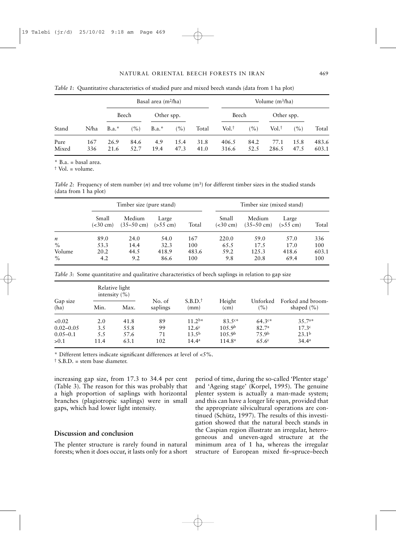|               |            |              | Basal area $(m^2/ha)$ |             |               |              | Volume $(m^3/ha)$ |              |                     |              |                |
|---------------|------------|--------------|-----------------------|-------------|---------------|--------------|-------------------|--------------|---------------------|--------------|----------------|
|               |            | Beech        |                       | Other spp.  |               |              | Beech             |              | Other spp.          |              |                |
| Stand         | N/ha       | $B.a.$ *     | (%)                   | $B.a.$ *    | (%)           | Total        | $Vol+$            | (%)          | $Vol.$ <sup>†</sup> | (%)          | Total          |
| Pure<br>Mixed | 167<br>336 | 26.9<br>21.6 | 84.6<br>52.7          | 4.9<br>19.4 | 1.5.4<br>47.3 | 31.8<br>41.0 | 406.5<br>316.6    | 84.2<br>52.5 | 77.1<br>286.5       | 15.8<br>47.5 | 483.6<br>603.1 |

*Table 1*: Quantitative characteristics of studied pure and mixed beech stands (data from 1 ha plot)

\* B.a. = basal area.

† Vol. = volume.

*Table 2*: Frequency of stem number  $(n)$  and tree volume  $(m<sup>3</sup>)$  for different timber sizes in the studied stands (data from 1 ha plot)

|                  |                             | Timber size (pure stand)       |                     |       | Timber size (mixed stand)        |                                |                                           |       |  |
|------------------|-----------------------------|--------------------------------|---------------------|-------|----------------------------------|--------------------------------|-------------------------------------------|-------|--|
|                  | Small<br>$(<30 \text{ cm})$ | Medium<br>$(35-50 \text{ cm})$ | Large<br>$(>55$ cm) | Total | Small<br>$\approx 30 \text{ cm}$ | Medium<br>$(35-50 \text{ cm})$ | Large<br>$\left( > 55 \text{ cm} \right)$ | Total |  |
| $\boldsymbol{n}$ | 89.0                        | 24.0                           | 54.0                | 167   | 220.0                            | 59.0                           | 57.0                                      | 336   |  |
| $\%$             | 53.3                        | 14.4                           | 32.3                | 100   | 65.5                             | 17.5                           | 17.0                                      | 100   |  |
| Volume           | 20.2                        | 44.5                           | 418.9               | 483.6 | 59.2                             | 125.3                          | 418.6                                     | 603.1 |  |
| $\%$             | 4.2                         | 9.2                            | 86.6                | 100   | 9.8                              | 20.8                           | 69.4                                      | 100   |  |

*Table 3*: Some quantitative and qualitative characteristics of beech saplings in relation to gap size

|                  | Relative light<br>intensity $(\% )$ |      |                    |                             |                     |                      |                                     |
|------------------|-------------------------------------|------|--------------------|-----------------------------|---------------------|----------------------|-------------------------------------|
| Gap size<br>(ha) | Min.                                | Max. | No. of<br>saplings | S.B.D. <sup>†</sup><br>(mm) | Height<br>(cm)      | Unforked<br>$( \% )$ | Forked and broom-<br>shaped $(\% )$ |
| < 0.02           | 2.0                                 | 41.8 | 89                 | $11.2b*$                    | $83.5c*$            | $64.3c*$             | $35.7a*$                            |
| $0.02 - 0.05$    | 3.5                                 | 55.8 | 99                 | 12.6 <sup>c</sup>           | 10.5.9 <sup>b</sup> | 82.7 <sup>a</sup>    | 17.3c                               |
| $0.05 - 0.1$     | 5.5                                 | 57.6 | 71                 | 13.5 <sup>b</sup>           | 10.5.9 <sup>b</sup> | 75.9b                | 23.1 <sup>b</sup>                   |
| > 0.1            | 11.4                                | 63.1 | 102                | $14.4^a$                    | 114.8 <sup>a</sup>  | 65.6 <sup>c</sup>    | $34.4^a$                            |

\* Different letters indicate significant differences at level of <5%.

 $\dagger$  S.B.D. = stem base diameter.

increasing gap size, from 17.3 to 34.4 per cent (Table 3). The reason for this was probably that a high proportion of saplings with horizontal branches (plagiotropic saplings) were in small gaps, which had lower light intensity.

# **Discussion and conclusion**

The plenter structure is rarely found in natural forests; when it does occur, it lasts only for a short period of time, during the so-called 'Plenter stage' and 'Ageing stage' (Korpel, 1995). The genuine plenter system is actually a man-made system; and this can have a longer life span, provided that the appropriate silvicultural operations are continued (Schütz, 1997). The results of this investigation showed that the natural beech stands in the Caspian region illustrate an irregular, heterogeneous and uneven-aged structure at the minimum area of 1 ha, whereas the irregular structure of European mixed fir–spruce–beech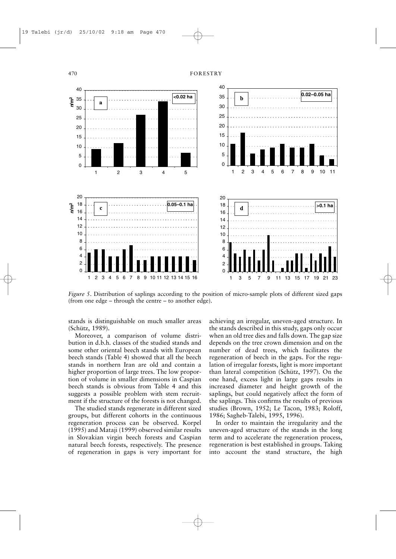

*Figure 5*. Distribution of saplings according to the position of micro-sample plots of different sized gaps (from one edge – through the centre – to another edge).

stands is distinguishable on much smaller areas (Schütz, 1989).

Moreover, a comparison of volume distribution in d.b.h. classes of the studied stands and some other oriental beech stands with European beech stands (Table 4) showed that all the beech stands in northern Iran are old and contain a higher proportion of large trees. The low proportion of volume in smaller dimensions in Caspian beech stands is obvious from Table 4 and this suggests a possible problem with stem recruitment if the structure of the forests is not changed.

The studied stands regenerate in different sized groups, but different cohorts in the continuous regeneration process can be observed. Korpel (1995) and Mataji (1999) observed similar results in Slovakian virgin beech forests and Caspian natural beech forests, respectively. The presence of regeneration in gaps is very important for

achieving an irregular, uneven-aged structure. In the stands described in this study, gaps only occur when an old tree dies and falls down. The gap size depends on the tree crown dimension and on the number of dead trees, which facilitates the regeneration of beech in the gaps. For the regulation of irregular forests, light is more important than lateral competition (Schütz, 1997). On the one hand, excess light in large gaps results in increased diameter and height growth of the saplings, but could negatively affect the form of the saplings. This confirms the results of previous studies (Brown, 1952; Le Tacon, 1983; Roloff, 1986; Sagheb-Talebi, 1995, 1996).

In order to maintain the irregularity and the uneven-aged structure of the stands in the long term and to accelerate the regeneration process, regeneration is best established in groups. Taking into account the stand structure, the high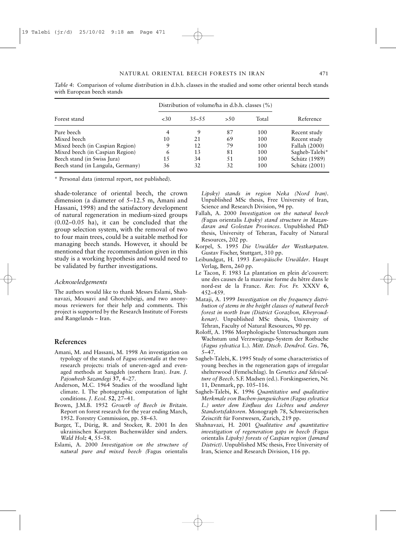|                                   | Distribution of volume/ha in d.b.h. classes (%) |           |      |       |                |  |
|-----------------------------------|-------------------------------------------------|-----------|------|-------|----------------|--|
| Forest stand                      | ~50                                             | $35 - 55$ | > 50 | Total | Reference      |  |
| Pure beech                        | 4                                               | 9         | 87   | 100   | Recent study   |  |
| Mixed beech                       | 10                                              | 2.1       | 69   | 100   | Recent study   |  |
| Mixed beech (in Caspian Region)   | 9                                               | 12        | 79   | 100   | Fallah (2000)  |  |
| Mixed beech (in Caspian Region)   | 6                                               | 13        | 81   | 100   | Sagheb-Talebi* |  |
| Beech stand (in Swiss Jura)       | 15                                              | 34        | 51   | 100   | Schütz (1989)  |  |
| Beech stand (in Langula, Germany) | 36                                              | 32        | 32   | 100   | Schütz (2001)  |  |

*Table 4*: Comparison of volume distribution in d.b.h. classes in the studied and some other oriental beech stands with European beech stands

\* Personal data (internal report, not published).

shade-tolerance of oriental beech, the crown dimension (a diameter of 5–12.5 m, Amani and Hassani, 1998) and the satisfactory development of natural regeneration in medium-sized groups (0.02–0.05 ha), it can be concluded that the group selection system, with the removal of two to four main trees, could be a suitable method for managing beech stands. However, it should be mentioned that the recommendation given in this study is a working hypothesis and would need to be validated by further investigations.

#### *Acknowledgements*

The authors would like to thank Messrs Eslami, Shahnavazi, Mousavi and Ghorchibeigi, and two anonymous reviewers for their help and comments. This project is supported by the Research Institute of Forests and Rangelands – Iran.

# **References**

- Amani, M. and Hassani, M. 1998 An investigation on typology of the stands of *Fagus orientalis* at the two research projects: trials of uneven-aged and evenaged methods at Sangdeh (northern Iran). *Iran. J. Pajouhesh Sazandegi* **37**, 4–27.
- Anderson, M.C. 1964 Studies of the woodland light climate. I. The photographic computation of light conditions. *J. Ecol*. **52**, 27–41.
- Brown, J.M.B. 1952 *Growth of Beech in Britain*. Report on forest research for the year ending March, 1952. Forestry Commission, pp. 58–63.
- Burger, T., Dürig, R. and Stocker, R. 2001 In den ukrainischen Karpaten Buchenwälder sind anders. *Wald Holz* **4**, 55–58.
- Eslami, A. 2000 *Investigation on the structure of natural pure and mixed beech (*Fagus orientalis

*Lipsky) stands in region Neka (Nord Iran)*. Unpublished MSc thesis, Free University of Iran, Science and Research Division, 94 pp.

- Fallah, A. 2000 *Investigation on the natural beech (*Fagus orientalis *Lipsky) stand structure in Mazandaran and Golestan Provinces*. Unpublished PhD thesis, University of Teheran, Faculty of Natural Resources, 202 pp.
- Korpel, S. 1995 *Die Urwälder der Westkarpaten*. Gustav Fischer, Stuttgart, 310 pp.
- Leibundgut, H. 1993 *Europäische Urwälder*. Haupt Verlag, Bern, 260 pp.
- Le Tacon, F. 1983 La plantation en plein de'couvert: une des causes de la mauvaise forme du hêtre dans le nord-est de la France. *Rev. For. Fr.* XXXV **6**, 452–459.
- Mataji, A. 1999 *Investigation on the frequency distribution of stems in the height classes of natural beech forest in north Iran (District Gorazbon, Kheyroudkenar)*. Unpublished MSc thesis, University of Tehran, Faculty of Natural Resources, 90 pp.
- Roloff, A. 1986 Morphologische Untersuchungen zum Wachstum und Verzweigungs-System der Rotbuche (*Fagus sylvatica* L.). *Mitt. Dtsch. Dendrol. Ges*. **76**, 5–47.
- Sagheb-Talebi, K. 1995 Study of some characteristics of young beeches in the regeneration gaps of irregular shelterwood (Femelschlag). In *Genetics and Silviculture of Beech*. S.F. Madsen (ed.). Forskingsserien, Nr. 11, Denmark, pp. 105–116.
- Sagheb-Talebi, K. 1996 *Quantitative und qualitative Merkmale von Buchen-jungwüchsen (Fagus sylvatica L.) unter dem Einfluss des Lichtes und anderer Standortsfaktoren*. Monograph 78, Schweizerischen Zeiscrift für Forstwesen, Zurich, 219 pp.
- Shahnavazi, H. 2001 *Qualitative and quantitative investigation of regeneration gaps in beech (*Fagus orientalis *Lipsky) forests of Caspian region (Jamand District)*. Unpublished MSc thesis, Free University of Iran, Science and Research Division, 116 pp.